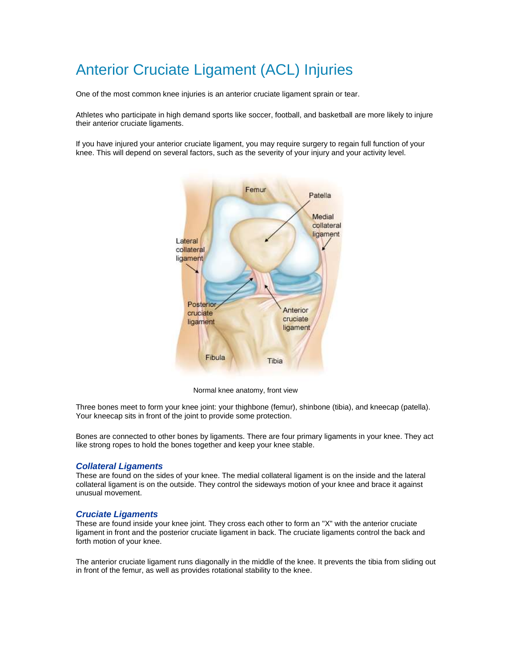# Anterior Cruciate Ligament (ACL) Injuries

One of the most common knee injuries is an anterior cruciate ligament sprain or tear.

Athletes who participate in high demand sports like soccer, football, and basketball are more likely to injure their anterior cruciate ligaments.

If you have injured your anterior cruciate ligament, you may require surgery to regain full function of your knee. This will depend on several factors, such as the severity of your injury and your activity level.



Normal knee anatomy, front view

Three bones meet to form your knee joint: your thighbone (femur), shinbone (tibia), and kneecap (patella). Your kneecap sits in front of the joint to provide some protection.

Bones are connected to other bones by ligaments. There are four primary ligaments in your knee. They act like strong ropes to hold the bones together and keep your knee stable.

#### *Collateral Ligaments*

These are found on the sides of your knee. The medial collateral ligament is on the inside and the lateral collateral ligament is on the outside. They control the sideways motion of your knee and brace it against unusual movement.

#### *Cruciate Ligaments*

These are found inside your knee joint. They cross each other to form an "X" with the anterior cruciate ligament in front and the posterior cruciate ligament in back. The cruciate ligaments control the back and forth motion of your knee.

The anterior cruciate ligament runs diagonally in the middle of the knee. It prevents the tibia from sliding out in front of the femur, as well as provides rotational stability to the knee.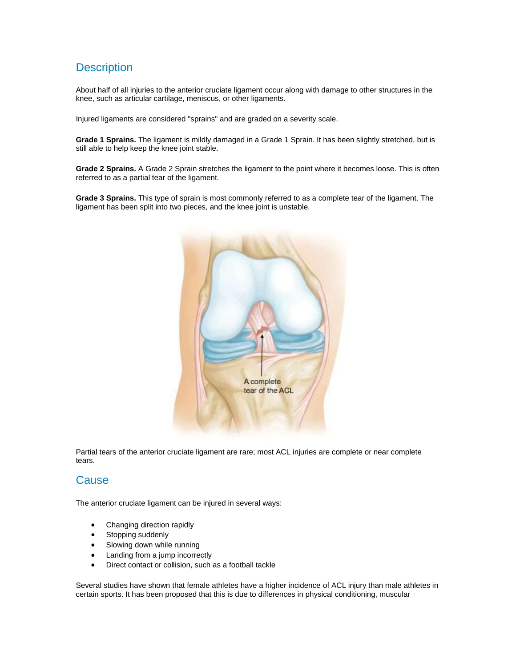# **Description**

About half of all injuries to the anterior cruciate ligament occur along with damage to other structures in the knee, such as articular cartilage, meniscus, or other ligaments.

Injured ligaments are considered "sprains" and are graded on a severity scale.

**Grade 1 Sprains.** The ligament is mildly damaged in a Grade 1 Sprain. It has been slightly stretched, but is still able to help keep the knee joint stable.

**Grade 2 Sprains.** A Grade 2 Sprain stretches the ligament to the point where it becomes loose. This is often referred to as a partial tear of the ligament.

**Grade 3 Sprains.** This type of sprain is most commonly referred to as a complete tear of the ligament. The ligament has been split into two pieces, and the knee joint is unstable.



Partial tears of the anterior cruciate ligament are rare; most ACL injuries are complete or near complete tears.

### **Cause**

The anterior cruciate ligament can be injured in several ways:

- Changing direction rapidly
- Stopping suddenly
- Slowing down while running
- Landing from a jump incorrectly
- Direct contact or collision, such as a football tackle

Several studies have shown that female athletes have a higher incidence of ACL injury than male athletes in certain sports. It has been proposed that this is due to differences in physical conditioning, muscular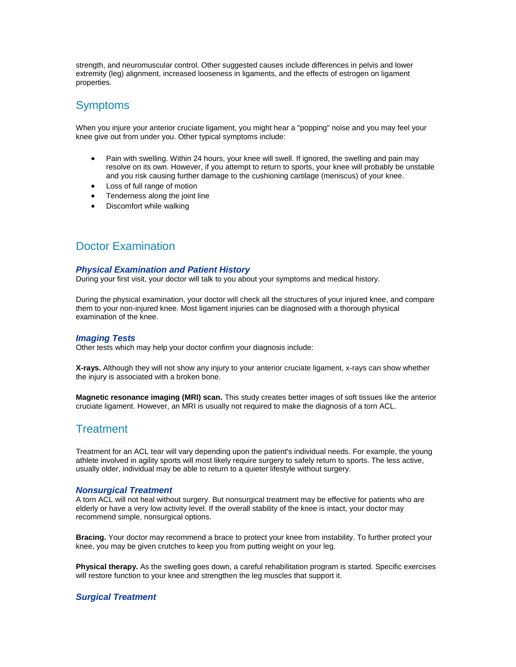strength, and neuromuscular control. Other suggested causes include differences in pelvis and lower extremity (leg) alignment, increased looseness in ligaments, and the effects of estrogen on ligament properties.

# **Symptoms**

When you injure your anterior cruciate ligament, you might hear a "popping" noise and you may feel your knee give out from under you. Other typical symptoms include:

- Pain with swelling. Within 24 hours, your knee will swell. If ignored, the swelling and pain may resolve on its own. However, if you attempt to return to sports, your knee will probably be unstable and you risk causing further damage to the cushioning cartilage (meniscus) of your knee.
- Loss of full range of motion
- Tenderness along the joint line
- Discomfort while walking

## Doctor Examination

#### *Physical Examination and Patient History*

During your first visit, your doctor will talk to you about your symptoms and medical history.

During the physical examination, your doctor will check all the structures of your injured knee, and compare them to your non-injured knee. Most ligament injuries can be diagnosed with a thorough physical examination of the knee.

#### *Imaging Tests*

Other tests which may help your doctor confirm your diagnosis include:

**X-rays.** Although they will not show any injury to your anterior cruciate ligament, x-rays can show whether the injury is associated with a broken bone.

**Magnetic resonance imaging (MRI) scan.** This study creates better images of soft tissues like the anterior cruciate ligament. However, an MRI is usually not required to make the diagnosis of a torn ACL.

### **Treatment**

Treatment for an ACL tear will vary depending upon the patient's individual needs. For example, the young athlete involved in agility sports will most likely require surgery to safely return to sports. The less active, usually older, individual may be able to return to a quieter lifestyle without surgery.

#### *Nonsurgical Treatment*

A torn ACL will not heal without surgery. But nonsurgical treatment may be effective for patients who are elderly or have a very low activity level. If the overall stability of the knee is intact, your doctor may recommend simple, nonsurgical options.

**Bracing.** Your doctor may recommend a brace to protect your knee from instability. To further protect your knee, you may be given crutches to keep you from putting weight on your leg.

**Physical therapy.** As the swelling goes down, a careful rehabilitation program is started. Specific exercises will restore function to your knee and strengthen the leg muscles that support it.

#### *Surgical Treatment*